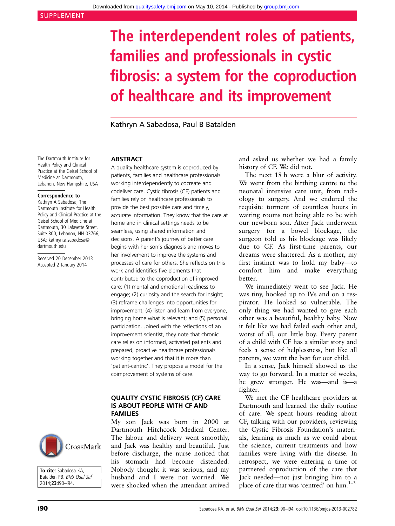# The interdependent roles of patients, families and professionals in cystic fibrosis: a system for the coproduction of healthcare and its improvement

Kathryn A Sabadosa, Paul B Batalden

The Dartmouth Institute for Health Policy and Clinical Practice at the Geisel School of Medicine at Dartmouth, Lebanon, New Hampshire, USA

#### Correspondence to

Kathryn A Sabadosa, The Dartmouth Institute for Health Policy and Clinical Practice at the Geisel School of Medicine at Dartmouth, 30 Lafayette Street, Suite 300, Lebanon, NH 03766, USA; kathryn.a.sabadosa@ dartmouth.edu

Received 20 December 2013 Accepted 2 January 2014

#### ABSTRACT

A quality healthcare system is coproduced by patients, families and healthcare professionals working interdependently to cocreate and codeliver care. Cystic fibrosis (CF) patients and families rely on healthcare professionals to provide the best possible care and timely, accurate information. They know that the care at home and in clinical settings needs to be seamless, using shared information and decisions. A parent's journey of better care begins with her son's diagnosis and moves to her involvement to improve the systems and processes of care for others. She reflects on this work and identifies five elements that contributed to the coproduction of improved care: (1) mental and emotional readiness to engage; (2) curiosity and the search for insight; (3) reframe challenges into opportunities for improvement; (4) listen and learn from everyone, bringing home what is relevant; and (5) personal participation. Joined with the reflections of an improvement scientist, they note that chronic care relies on informed, activated patients and prepared, proactive healthcare professionals working together and that it is more than 'patient-centric'. They propose a model for the coimprovement of systems of care.

## QUALITY CYSTIC FIBROSIS (CF) CARE IS ABOUT PEOPLE WITH CF AND FAMILIES

My son Jack was born in 2000 at Dartmouth Hitchcock Medical Center. The labour and delivery went smoothly, and Jack was healthy and beautiful. Just before discharge, the nurse noticed that his stomach had become distended. Nobody thought it was serious, and my husband and I were not worried. We were shocked when the attendant arrived

and asked us whether we had a family history of CF. We did not.

The next 18 h were a blur of activity. We went from the birthing centre to the neonatal intensive care unit, from radiology to surgery. And we endured the requisite torment of countless hours in waiting rooms not being able to be with our newborn son. After Jack underwent surgery for a bowel blockage, the surgeon told us his blockage was likely due to CF. As first-time parents, our dreams were shattered. As a mother, my first instinct was to hold my baby—to comfort him and make everything better.

We immediately went to see Jack. He was tiny, hooked up to IVs and on a respirator. He looked so vulnerable. The only thing we had wanted to give each other was a beautiful, healthy baby. Now it felt like we had failed each other and, worst of all, our little boy. Every parent of a child with CF has a similar story and feels a sense of helplessness, but like all parents, we want the best for our child.

In a sense, Jack himself showed us the way to go forward. In a matter of weeks, he grew stronger. He was—and is—a fighter.

We met the CF healthcare providers at Dartmouth and learned the daily routine of care. We spent hours reading about CF, talking with our providers, reviewing the Cystic Fibrosis Foundation's materials, learning as much as we could about the science, current treatments and how families were living with the disease. In retrospect, we were entering a time of partnered coproduction of the care that Jack needed—not just bringing him to a place of care that was 'centred' on him.<sup>1-3</sup>



To cite: Sabadosa KA, Batalden PB. BMJ Qual Saf 2014;23:i90–i94.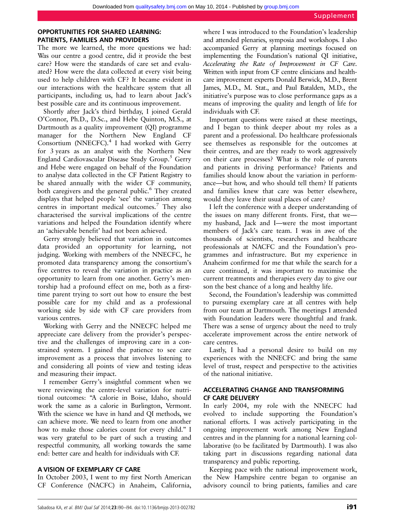## OPPORTUNITIES FOR SHARED LEARNING: PATIENTS, FAMILIES AND PROVIDERS

The more we learned, the more questions we had: Was our centre a good centre, did it provide the best care? How were the standards of care set and evaluated? How were the data collected at every visit being used to help children with CF? It became evident in our interactions with the healthcare system that all participants, including us, had to learn about Jack's best possible care and its continuous improvement.

Shortly after Jack's third birthday, I joined Gerald O'Connor, Ph.D., D.Sc., and Hebe Quinton, M.S., at Dartmouth as a quality improvement (QI) programme manager for the Northern New England CF Consortium (NNECFC).<sup>4</sup> I had worked with Gerry for 3 years as an analyst with the Northern New England Cardiovascular Disease Study Group.<sup>5</sup> Gerry and Hebe were engaged on behalf of the Foundation to analyse data collected in the CF Patient Registry to be shared annually with the wider CF community, both caregivers and the general public.<sup>6</sup> They created displays that helped people 'see' the variation among centres in important medical outcomes.<sup>7</sup> They also characterised the survival implications of the centre variations and helped the Foundation identify where an 'achievable benefit' had not been achieved.

Gerry strongly believed that variation in outcomes data provided an opportunity for learning, not judging. Working with members of the NNECFC, he promoted data transparency among the consortium's five centres to reveal the variation in practice as an opportunity to learn from one another. Gerry's mentorship had a profound effect on me, both as a firsttime parent trying to sort out how to ensure the best possible care for my child and as a professional working side by side with CF care providers from various centres.

Working with Gerry and the NNECFC helped me appreciate care delivery from the provider's perspective and the challenges of improving care in a constrained system. I gained the patience to see care improvement as a process that involves listening to and considering all points of view and testing ideas and measuring their impact.

I remember Gerry's insightful comment when we were reviewing the centre-level variation for nutritional outcomes: "A calorie in Boise, Idaho, should work the same as a calorie in Burlington, Vermont. With the science we have in hand and QI methods, we can achieve more. We need to learn from one another how to make those calories count for every child." I was very grateful to be part of such a trusting and respectful community, all working towards the same end: better care and health for individuals with CF.

### A VISION OF EXEMPLARY CF CARE

In October 2003, I went to my first North American CF Conference (NACFC) in Anaheim, California,

where I was introduced to the Foundation's leadership and attended plenaries, symposia and workshops. I also accompanied Gerry at planning meetings focused on implementing the Foundation's national QI initiative, Accelerating the Rate of Improvement in CF Care. Written with input from CF centre clinicians and healthcare improvement experts Donald Berwick, M.D., Brent James, M.D., M. Stat., and Paul Batalden, M.D., the initiative's purpose was to close performance gaps as a means of improving the quality and length of life for individuals with CF.

Important questions were raised at these meetings, and I began to think deeper about my roles as a parent and a professional. Do healthcare professionals see themselves as responsible for the outcomes at their centres, and are they ready to work aggressively on their care processes? What is the role of parents and patients in driving performance? Patients and families should know about the variation in performance—but how, and who should tell them? If patients and families knew that care was better elsewhere, would they leave their usual places of care?

I left the conference with a deeper understanding of the issues on many different fronts. First, that we my husband, Jack and I—were the most important members of Jack's care team. I was in awe of the thousands of scientists, researchers and healthcare professionals at NACFC and the Foundation's programmes and infrastructure. But my experience in Anaheim confirmed for me that while the search for a cure continued, it was important to maximise the current treatments and therapies every day to give our son the best chance of a long and healthy life.

Second, the Foundation's leadership was committed to pursuing exemplary care at all centres with help from our team at Dartmouth. The meetings I attended with Foundation leaders were thoughtful and frank. There was a sense of urgency about the need to truly accelerate improvement across the entire network of care centres.

Lastly, I had a personal desire to build on my experiences with the NNECFC and bring the same level of trust, respect and perspective to the activities of the national initiative.

# ACCELERATING CHANGE AND TRANSFORMING CF CARE DELIVERY

In early 2004, my role with the NNECFC had evolved to include supporting the Foundation's national efforts. I was actively participating in the ongoing improvement work among New England centres and in the planning for a national learning collaborative (to be facilitated by Dartmouth). I was also taking part in discussions regarding national data transparency and public reporting.

Keeping pace with the national improvement work, the New Hampshire centre began to organise an advisory council to bring patients, families and care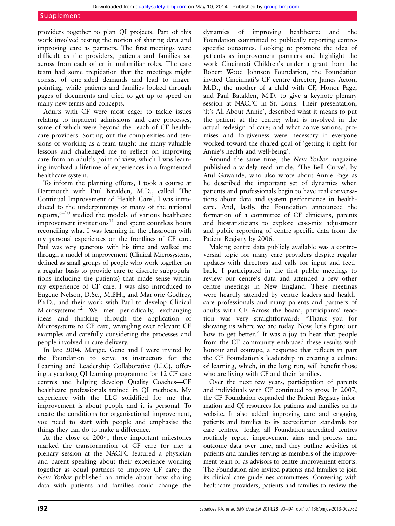#### Supplement

providers together to plan QI projects. Part of this work involved testing the notion of sharing data and improving care as partners. The first meetings were difficult as the providers, patients and families sat across from each other in unfamiliar roles. The care team had some trepidation that the meetings might consist of one-sided demands and lead to fingerpointing, while patients and families looked through pages of documents and tried to get up to speed on many new terms and concepts.

Adults with CF were most eager to tackle issues relating to inpatient admissions and care processes, some of which were beyond the reach of CF healthcare providers. Sorting out the complexities and tensions of working as a team taught me many valuable lessons and challenged me to reflect on improving care from an adult's point of view, which I was learning involved a lifetime of experiences in a fragmented healthcare system.

To inform the planning efforts, I took a course at Dartmouth with Paul Batalden, M.D., called 'The Continual Improvement of Health Care'. I was introduced to the underpinnings of many of the national reports, $8-10$  studied the models of various healthcare improvement institutions $11$  and spent countless hours reconciling what I was learning in the classroom with my personal experiences on the frontlines of CF care. Paul was very generous with his time and walked me through a model of improvement (Clinical Microsystems, defined as small groups of people who work together on a regular basis to provide care to discrete subpopulations including the patients) that made sense within my experience of CF care. I was also introduced to Eugene Nelson, D.Sc., M.P.H., and Marjorie Godfrey, Ph.D., and their work with Paul to develop Clinical Microsystems.<sup>12</sup> We met periodically, exchanging ideas and thinking through the application of Microsystems to CF care, wrangling over relevant CF examples and carefully considering the processes and people involved in care delivery.

In late 2004, Margie, Gene and I were invited by the Foundation to serve as instructors for the Learning and Leadership Collaborative (LLC), offering a yearlong QI learning programme for 12 CF care centres and helping develop Quality Coaches—CF healthcare professionals trained in QI methods. My experience with the LLC solidified for me that improvement is about people and it is personal. To create the conditions for organisational improvement, you need to start with people and emphasise the things they can do to make a difference.

At the close of 2004, three important milestones marked the transformation of CF care for me: a plenary session at the NACFC featured a physician and parent speaking about their experience working together as equal partners to improve CF care; the New Yorker published an article about how sharing data with patients and families could change the

dynamics of improving healthcare; and the Foundation committed to publically reporting centrespecific outcomes. Looking to promote the idea of patients as improvement partners and highlight the work Cincinnati Children's under a grant from the Robert Wood Johnson Foundation, the Foundation invited Cincinnati's CF centre director, James Acton, M.D., the mother of a child with CF, Honor Page, and Paul Batalden, M.D. to give a keynote plenary session at NACFC in St. Louis. Their presentation, 'It's All About Annie', described what it means to put the patient at the centre; what is involved in the actual redesign of care; and what conversations, promises and forgiveness were necessary if everyone worked toward the shared goal of 'getting it right for Annie's health and well-being'.

Around the same time, the New Yorker magazine published a widely read article, 'The Bell Curve', by Atul Gawande, who also wrote about Annie Page as he described the important set of dynamics when patients and professionals begin to have real conversations about data and system performance in healthcare. And, lastly, the Foundation announced the formation of a committee of CF clinicians, parents and biostatisticians to explore case-mix adjustment and public reporting of centre-specific data from the Patient Registry by 2006.

Making centre data publicly available was a controversial topic for many care providers despite regular updates with directors and calls for input and feedback. I participated in the first public meetings to review our centre's data and attended a few other centre meetings in New England. These meetings were heartily attended by centre leaders and healthcare professionals and many parents and partners of adults with CF. Across the board, participants' reaction was very straightforward: "Thank you for showing us where we are today. Now, let's figure out how to get better." It was a joy to hear that people from the CF community embraced these results with honour and courage, a response that reflects in part the CF Foundation's leadership in creating a culture of learning, which, in the long run, will benefit those who are living with CF and their families.

Over the next few years, participation of parents and individuals with CF continued to grow. In 2007, the CF Foundation expanded the Patient Registry information and QI resources for patients and families on its website. It also added improving care and engaging patients and families to its accreditation standards for care centres. Today, all Foundation-accredited centres routinely report improvement aims and process and outcome data over time, and they outline activities of patients and families serving as members of the improvement team or as advisors to centre improvement efforts. The Foundation also invited patients and families to join its clinical care guidelines committees. Convening with healthcare providers, patients and families to review the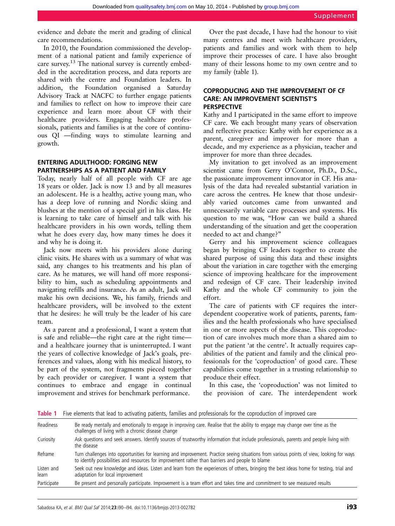evidence and debate the merit and grading of clinical care recommendations.

In 2010, the Foundation commissioned the development of a national patient and family experience of care survey.<sup>13</sup> The national survey is currently embedded in the accreditation process, and data reports are shared with the centre and Foundation leaders. In addition, the Foundation organised a Saturday Advisory Track at NACFC to further engage patients and families to reflect on how to improve their care experience and learn more about CF with their healthcare providers. Engaging healthcare professionals, patients and families is at the core of continuous QI —finding ways to stimulate learning and growth.

# ENTERING ADULTHOOD: FORGING NEW PARTNERSHIPS AS A PATIENT AND FAMILY

Today, nearly half of all people with CF are age 18 years or older. Jack is now 13 and by all measures an adolescent. He is a healthy, active young man, who has a deep love of running and Nordic skiing and blushes at the mention of a special girl in his class. He is learning to take care of himself and talk with his healthcare providers in his own words, telling them what he does every day, how many times he does it and why he is doing it.

Jack now meets with his providers alone during clinic visits. He shares with us a summary of what was said, any changes to his treatments and his plan of care. As he matures, we will hand off more responsibility to him, such as scheduling appointments and navigating refills and insurance. As an adult, Jack will make his own decisions. We, his family, friends and healthcare providers, will be involved to the extent that he desires: he will truly be the leader of his care team.

As a parent and a professional, I want a system that is safe and reliable—the right care at the right time and a healthcare journey that is uninterrupted. I want the years of collective knowledge of Jack's goals, preferences and values, along with his medical history, to be part of the system, not fragments pieced together by each provider or caregiver. I want a system that continues to embrace and engage in continual improvement and strives for benchmark performance.

Over the past decade, I have had the honour to visit many centres and meet with healthcare providers, patients and families and work with them to help improve their processes of care. I have also brought many of their lessons home to my own centre and to my family (table 1).

# COPRODUCING AND THE IMPROVEMENT OF CF CARE: AN IMPROVEMENT SCIENTIST'S PERSPECTIVE

Kathy and I participated in the same effort to improve CF care. We each brought many years of observation and reflective practice: Kathy with her experience as a parent, caregiver and improver for more than a decade, and my experience as a physician, teacher and improver for more than three decades.

My invitation to get involved as an improvement scientist came from Gerry O'Connor, Ph.D., D.Sc., the passionate improvement innovator in CF. His analysis of the data had revealed substantial variation in care across the centres. He knew that those undesirably varied outcomes came from unwanted and unnecessarily variable care processes and systems. His question to me was, "How can we build a shared understanding of the situation and get the cooperation needed to act and change?"

Gerry and his improvement science colleagues began by bringing CF leaders together to create the shared purpose of using this data and these insights about the variation in care together with the emerging science of improving healthcare for the improvement and redesign of CF care. Their leadership invited Kathy and the whole CF community to join the effort.

The care of patients with CF requires the interdependent cooperative work of patients, parents, families and the health professionals who have specialised in one or more aspects of the disease. This coproduction of care involves much more than a shared aim to put the patient 'at the centre'. It actually requires capabilities of the patient and family and the clinical professionals for the 'coproduction' of good care. These capabilities come together in a trusting relationship to produce their effect.

In this case, the 'coproduction' was not limited to the provision of care. The interdependent work

Table 1 Five elements that lead to activating patients, families and professionals for the coproduction of improved care

| Readiness           | Be ready mentally and emotionally to engage in improving care. Realise that the ability to engage may change over time as the<br>challenges of living with a chronic disease change                                                           |
|---------------------|-----------------------------------------------------------------------------------------------------------------------------------------------------------------------------------------------------------------------------------------------|
| Curiosity           | Ask questions and seek answers. Identify sources of trustworthy information that include professionals, parents and people living with<br>the disease                                                                                         |
| Reframe             | Turn challenges into opportunities for learning and improvement. Practice seeing situations from various points of view, looking for ways<br>to identify possibilities and resources for improvement rather than barriers and people to blame |
| Listen and<br>learn | Seek out new knowledge and ideas. Listen and learn from the experiences of others, bringing the best ideas home for testing, trial and<br>adaptation for local improvement                                                                    |
| Participate         | Be present and personally participate. Improvement is a team effort and takes time and commitment to see measured results                                                                                                                     |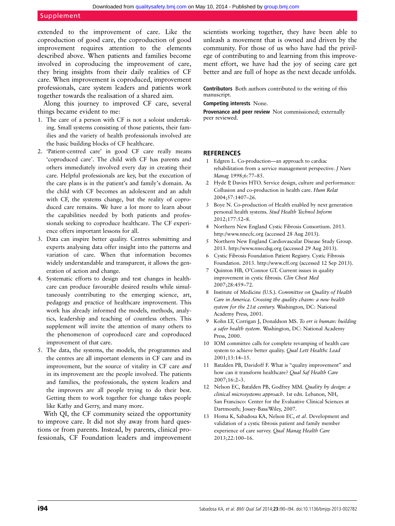extended to the improvement of care. Like the coproduction of good care, the coproduction of good improvement requires attention to the elements described above. When patients and families become involved in coproducing the improvement of care, they bring insights from their daily realities of CF care. When improvement is coproduced, improvement professionals, care system leaders and patients work together towards the realisation of a shared aim.

Along this journey to improved CF care, several things became evident to me:

- 1. The care of a person with CF is not a soloist undertaking. Small systems consisting of those patients, their families and the variety of health professionals involved are the basic building blocks of CF healthcare.
- 2. 'Patient-centred care' in good CF care really means 'coproduced care'. The child with CF has parents and others immediately involved every day in creating their care. Helpful professionals are key, but the execution of the care plans is in the patient's and family's domain. As the child with CF becomes an adolescent and an adult with CF, the systems change, but the reality of coproduced care remains. We have a lot more to learn about the capabilities needed by both patients and professionals seeking to coproduce healthcare. The CF experience offers important lessons for all.
- 3. Data can inspire better quality. Centres submitting and experts analysing data offer insight into the patterns and variation of care. When that information becomes widely understandable and transparent, it allows the generation of action and change.
- 4. Systematic efforts to design and test changes in healthcare can produce favourable desired results while simultaneously contributing to the emerging science, art, pedagogy and practice of healthcare improvement. This work has already informed the models, methods, analytics, leadership and teaching of countless others. This supplement will invite the attention of many others to the phenomenon of coproduced care and coproduced improvement of that care.
- 5. The data, the systems, the models, the programmes and the centres are all important elements in CF care and its improvement, but the source of vitality in CF care and in its improvement are the people involved. The patients and families, the professionals, the system leaders and the improvers are all people trying to do their best. Getting them to work together for change takes people like Kathy and Gerry, and many more.

With QI, the CF community seized the opportunity to improve care. It did not shy away from hard questions or from parents. Instead, by parents, clinical professionals, CF Foundation leaders and improvement scientists working together, they have been able to unleash a movement that is owned and driven by the community. For those of us who have had the privilege of contributing to and learning from this improvement effort, we have had the joy of seeing care get better and are full of hope as the next decade unfolds.

Contributors Both authors contributed to the writing of this manuscript.

#### Competing interests None.

Provenance and peer review Not commissioned; externally peer reviewed.

#### **REFERENCES**

- 1 Edgren L. Co-production—an approach to cardiac rehabilitation from a service management perspective. J Nurs Manag 1998;6:77–85.
- 2 Hyde P, Davies HTO. Service design, culture and performance: Collusion and co-production in health care. Hum Relat 2004;57:1407–26.
- 3 Boye N. Co-production of Health enabled by next generation personal health systems. Stud Health Technol Inform 2012;177:52–8.
- 4 Northern New England Cystic Fibrosis Consortium. 2013. http://www.nnecfc.org (accessed 28 Aug 2013).
- 5 Northern New England Cardiovascular Disease Study Group. 2013. http://www.nnecdsg.org (accessed 29 Aug 2013).
- 6 Cystic Fibrosis Foundation Patient Registry. Cystic Fibrosis Foundation. 2013. http://www.cff.org (accessed 12 Sep 2013).
- 7 Quinton HB, O'Connor GT. Current issues in quality improvement in cystic fibrosis. Clin Chest Med 2007;28:459–72.
- 8 Institute of Medicine (U.S.). Committee on Quality of Health Care in America. Crossing the quality chasm: a new health system for the 21st century. Washington, DC: National Academy Press, 2001.
- Kohn LT, Corrigan J, Donaldson MS. To err is human: building a safer health system. Washington, DC: National Academy Press, 2000.
- 10 IOM committee calls for complete revamping of health care system to achieve better quality. Qual Lett Healthc Lead 2001;13:14–15.
- 11 Batalden PB, Davidoff F. What is "quality improvement" and how can it transform healthcare? Qual Saf Health Care 2007;16:2–3.
- 12 Nelson EC, Batalden PB, Godfrey MM. Quality by design: a clinical microsystems approach. 1st edn. Lebanon, NH, San Francisco: Center for the Evaluative Clinical Sciences at Dartmouth; Jossey-Bass/Wiley, 2007.
- 13 Homa K, Sabadosa KA, Nelson EC, et al. Development and validation of a cystic fibrosis patient and family member experience of care survey. Qual Manag Health Care 2013;22:100–16.